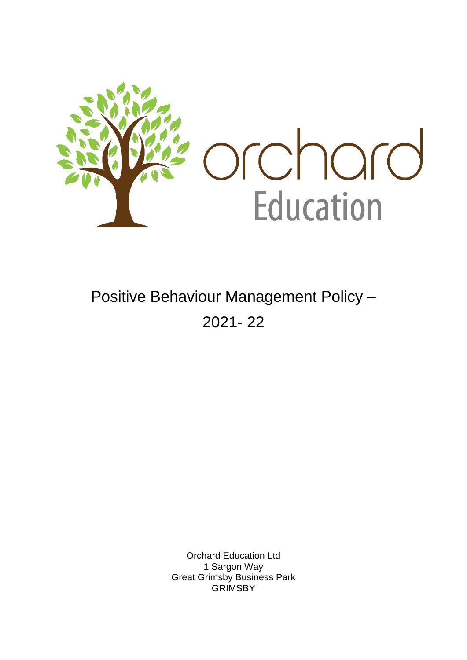

# Positive Behaviour Management Policy – 2021- 22

Orchard Education Ltd 1 Sargon Way Great Grimsby Business Park **GRIMSBY**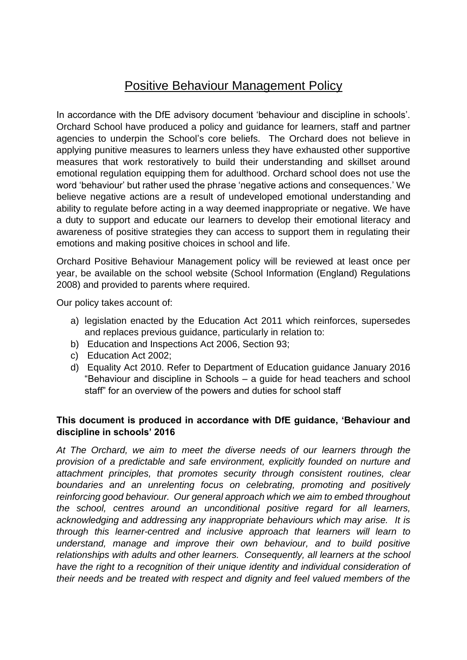# Positive Behaviour Management Policy

In accordance with the DfE advisory document 'behaviour and discipline in schools'. Orchard School have produced a policy and guidance for learners, staff and partner agencies to underpin the School's core beliefs. The Orchard does not believe in applying punitive measures to learners unless they have exhausted other supportive measures that work restoratively to build their understanding and skillset around emotional regulation equipping them for adulthood. Orchard school does not use the word 'behaviour' but rather used the phrase 'negative actions and consequences.' We believe negative actions are a result of undeveloped emotional understanding and ability to regulate before acting in a way deemed inappropriate or negative. We have a duty to support and educate our learners to develop their emotional literacy and awareness of positive strategies they can access to support them in regulating their emotions and making positive choices in school and life.

Orchard Positive Behaviour Management policy will be reviewed at least once per year, be available on the school website (School Information (England) Regulations 2008) and provided to parents where required.

Our policy takes account of:

- a) legislation enacted by the Education Act 2011 which reinforces, supersedes and replaces previous guidance, particularly in relation to:
- b) Education and Inspections Act 2006, Section 93;
- c) Education Act 2002;
- d) Equality Act 2010. Refer to Department of Education guidance January 2016 "Behaviour and discipline in Schools – a guide for head teachers and school staff" for an overview of the powers and duties for school staff

#### **This document is produced in accordance with DfE guidance, 'Behaviour and discipline in schools' 2016**

*At The Orchard, we aim to meet the diverse needs of our learners through the provision of a predictable and safe environment, explicitly founded on nurture and attachment principles, that promotes security through consistent routines, clear boundaries and an unrelenting focus on celebrating, promoting and positively reinforcing good behaviour. Our general approach which we aim to embed throughout the school, centres around an unconditional positive regard for all learners, acknowledging and addressing any inappropriate behaviours which may arise. It is through this learner-centred and inclusive approach that learners will learn to understand, manage and improve their own behaviour, and to build positive relationships with adults and other learners. Consequently, all learners at the school have the right to a recognition of their unique identity and individual consideration of their needs and be treated with respect and dignity and feel valued members of the*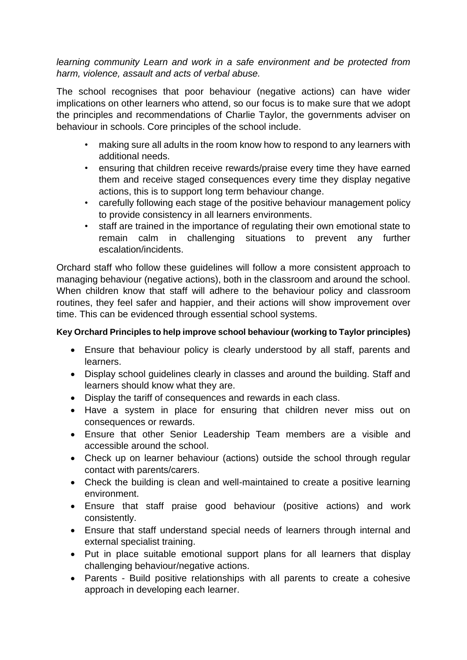#### *learning community Learn and work in a safe environment and be protected from harm, violence, assault and acts of verbal abuse.*

The school recognises that poor behaviour (negative actions) can have wider implications on other learners who attend, so our focus is to make sure that we adopt the principles and recommendations of Charlie Taylor, the governments adviser on behaviour in schools. Core principles of the school include.

- making sure all adults in the room know how to respond to any learners with additional needs.
- ensuring that children receive rewards/praise every time they have earned them and receive staged consequences every time they display negative actions, this is to support long term behaviour change.
- carefully following each stage of the positive behaviour management policy to provide consistency in all learners environments.
- staff are trained in the importance of regulating their own emotional state to remain calm in challenging situations to prevent any further escalation/incidents.

Orchard staff who follow these guidelines will follow a more consistent approach to managing behaviour (negative actions), both in the classroom and around the school. When children know that staff will adhere to the behaviour policy and classroom routines, they feel safer and happier, and their actions will show improvement over time. This can be evidenced through essential school systems.

#### **Key Orchard Principles to help improve school behaviour (working to Taylor principles)**

- Ensure that behaviour policy is clearly understood by all staff, parents and learners.
- Display school guidelines clearly in classes and around the building. Staff and learners should know what they are.
- Display the tariff of consequences and rewards in each class.
- Have a system in place for ensuring that children never miss out on consequences or rewards.
- Ensure that other Senior Leadership Team members are a visible and accessible around the school.
- Check up on learner behaviour (actions) outside the school through regular contact with parents/carers.
- Check the building is clean and well-maintained to create a positive learning environment.
- Ensure that staff praise good behaviour (positive actions) and work consistently.
- Ensure that staff understand special needs of learners through internal and external specialist training.
- Put in place suitable emotional support plans for all learners that display challenging behaviour/negative actions.
- Parents Build positive relationships with all parents to create a cohesive approach in developing each learner.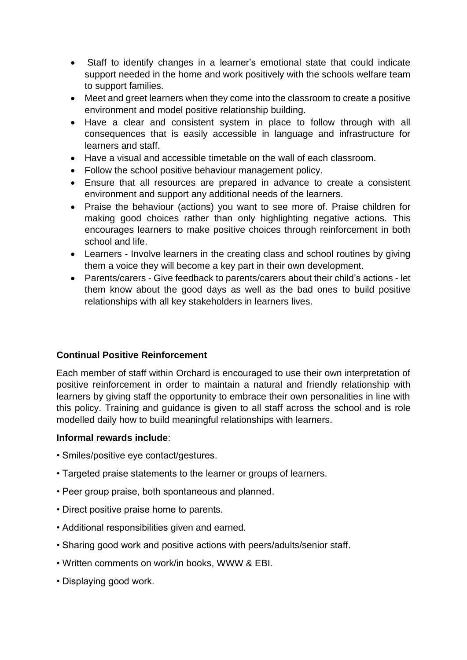- Staff to identify changes in a learner's emotional state that could indicate support needed in the home and work positively with the schools welfare team to support families.
- Meet and greet learners when they come into the classroom to create a positive environment and model positive relationship building.
- Have a clear and consistent system in place to follow through with all consequences that is easily accessible in language and infrastructure for learners and staff.
- Have a visual and accessible timetable on the wall of each classroom.
- Follow the school positive behaviour management policy.
- Ensure that all resources are prepared in advance to create a consistent environment and support any additional needs of the learners.
- Praise the behaviour (actions) you want to see more of. Praise children for making good choices rather than only highlighting negative actions. This encourages learners to make positive choices through reinforcement in both school and life.
- Learners Involve learners in the creating class and school routines by giving them a voice they will become a key part in their own development.
- Parents/carers Give feedback to parents/carers about their child's actions let them know about the good days as well as the bad ones to build positive relationships with all key stakeholders in learners lives.

#### **Continual Positive Reinforcement**

Each member of staff within Orchard is encouraged to use their own interpretation of positive reinforcement in order to maintain a natural and friendly relationship with learners by giving staff the opportunity to embrace their own personalities in line with this policy. Training and guidance is given to all staff across the school and is role modelled daily how to build meaningful relationships with learners.

#### **Informal rewards include**:

- Smiles/positive eye contact/gestures.
- Targeted praise statements to the learner or groups of learners.
- Peer group praise, both spontaneous and planned.
- Direct positive praise home to parents.
- Additional responsibilities given and earned.
- Sharing good work and positive actions with peers/adults/senior staff.
- Written comments on work/in books, WWW & EBI.
- Displaying good work.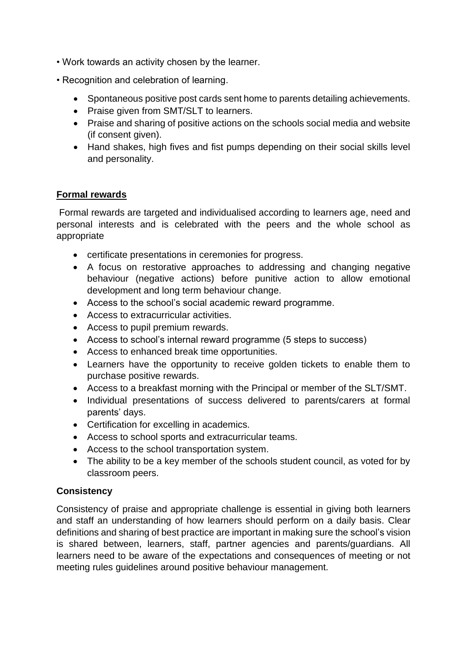- Work towards an activity chosen by the learner.
- Recognition and celebration of learning.
	- Spontaneous positive post cards sent home to parents detailing achievements.
	- Praise given from SMT/SLT to learners.
	- Praise and sharing of positive actions on the schools social media and website (if consent given).
	- Hand shakes, high fives and fist pumps depending on their social skills level and personality.

#### **Formal rewards**

Formal rewards are targeted and individualised according to learners age, need and personal interests and is celebrated with the peers and the whole school as appropriate

- certificate presentations in ceremonies for progress.
- A focus on restorative approaches to addressing and changing negative behaviour (negative actions) before punitive action to allow emotional development and long term behaviour change.
- Access to the school's social academic reward programme.
- Access to extracurricular activities.
- Access to pupil premium rewards.
- Access to school's internal reward programme (5 steps to success)
- Access to enhanced break time opportunities.
- Learners have the opportunity to receive golden tickets to enable them to purchase positive rewards.
- Access to a breakfast morning with the Principal or member of the SLT/SMT.
- Individual presentations of success delivered to parents/carers at formal parents' days.
- Certification for excelling in academics.
- Access to school sports and extracurricular teams.
- Access to the school transportation system.
- The ability to be a key member of the schools student council, as voted for by classroom peers.

#### **Consistency**

Consistency of praise and appropriate challenge is essential in giving both learners and staff an understanding of how learners should perform on a daily basis. Clear definitions and sharing of best practice are important in making sure the school's vision is shared between, learners, staff, partner agencies and parents/guardians. All learners need to be aware of the expectations and consequences of meeting or not meeting rules guidelines around positive behaviour management.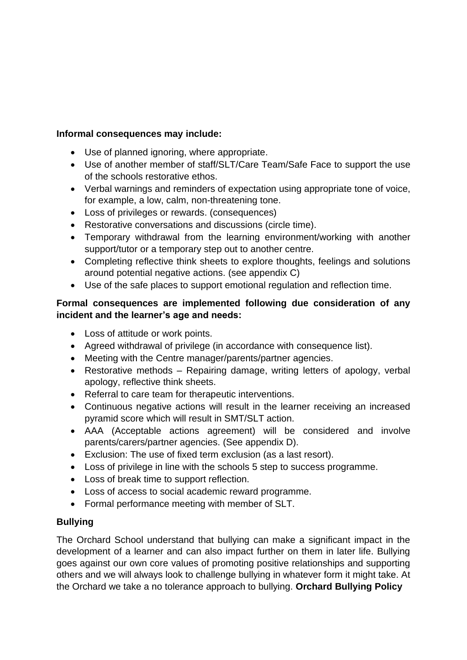#### **Informal consequences may include:**

- Use of planned ignoring, where appropriate.
- Use of another member of staff/SLT/Care Team/Safe Face to support the use of the schools restorative ethos.
- Verbal warnings and reminders of expectation using appropriate tone of voice, for example, a low, calm, non-threatening tone.
- Loss of privileges or rewards. (consequences)
- Restorative conversations and discussions (circle time).
- Temporary withdrawal from the learning environment/working with another support/tutor or a temporary step out to another centre.
- Completing reflective think sheets to explore thoughts, feelings and solutions around potential negative actions. (see appendix C)
- Use of the safe places to support emotional regulation and reflection time.

#### **Formal consequences are implemented following due consideration of any incident and the learner's age and needs:**

- Loss of attitude or work points.
- Agreed withdrawal of privilege (in accordance with consequence list).
- Meeting with the Centre manager/parents/partner agencies.
- Restorative methods Repairing damage, writing letters of apology, verbal apology, reflective think sheets.
- Referral to care team for therapeutic interventions.
- Continuous negative actions will result in the learner receiving an increased pyramid score which will result in SMT/SLT action.
- AAA (Acceptable actions agreement) will be considered and involve parents/carers/partner agencies. (See appendix D).
- Exclusion: The use of fixed term exclusion (as a last resort).
- Loss of privilege in line with the schools 5 step to success programme.
- Loss of break time to support reflection.
- Loss of access to social academic reward programme.
- Formal performance meeting with member of SLT.

#### **Bullying**

The Orchard School understand that bullying can make a significant impact in the development of a learner and can also impact further on them in later life. Bullying goes against our own core values of promoting positive relationships and supporting others and we will always look to challenge bullying in whatever form it might take. At the Orchard we take a no tolerance approach to bullying. **Orchard Bullying Policy**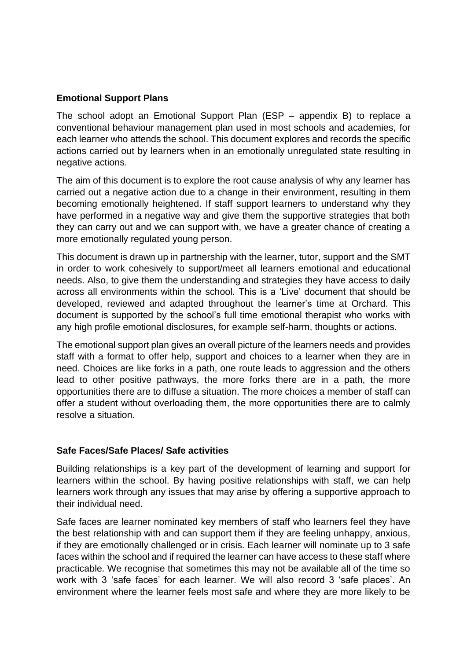#### **Emotional Support Plans**

The school adopt an Emotional Support Plan (ESP – appendix B) to replace a conventional behaviour management plan used in most schools and academies, for each learner who attends the school. This document explores and records the specific actions carried out by learners when in an emotionally unregulated state resulting in negative actions.

The aim of this document is to explore the root cause analysis of why any learner has carried out a negative action due to a change in their environment, resulting in them becoming emotionally heightened. If staff support learners to understand why they have performed in a negative way and give them the supportive strategies that both they can carry out and we can support with, we have a greater chance of creating a more emotionally regulated young person.

This document is drawn up in partnership with the learner, tutor, support and the SMT in order to work cohesively to support/meet all learners emotional and educational needs. Also, to give them the understanding and strategies they have access to daily across all environments within the school. This is a 'Live' document that should be developed, reviewed and adapted throughout the learner's time at Orchard. This document is supported by the school's full time emotional therapist who works with any high profile emotional disclosures, for example self-harm, thoughts or actions.

The emotional support plan gives an overall picture of the learners needs and provides staff with a format to offer help, support and choices to a learner when they are in need. Choices are like forks in a path, one route leads to aggression and the others lead to other positive pathways, the more forks there are in a path, the more opportunities there are to diffuse a situation. The more choices a member of staff can offer a student without overloading them, the more opportunities there are to calmly resolve a situation.

#### **Safe Faces/Safe Places/ Safe activities**

Building relationships is a key part of the development of learning and support for learners within the school. By having positive relationships with staff, we can help learners work through any issues that may arise by offering a supportive approach to their individual need.

Safe faces are learner nominated key members of staff who learners feel they have the best relationship with and can support them if they are feeling unhappy, anxious, if they are emotionally challenged or in crisis. Each learner will nominate up to 3 safe faces within the school and if required the learner can have access to these staff where practicable. We recognise that sometimes this may not be available all of the time so work with 3 'safe faces' for each learner. We will also record 3 'safe places'. An environment where the learner feels most safe and where they are more likely to be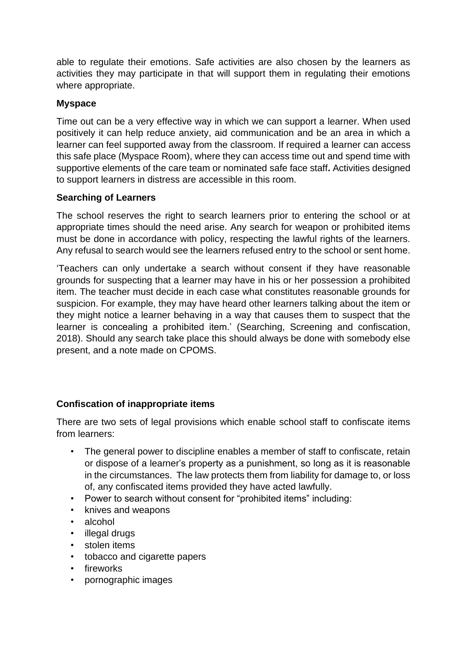able to regulate their emotions. Safe activities are also chosen by the learners as activities they may participate in that will support them in regulating their emotions where appropriate.

#### **Myspace**

Time out can be a very effective way in which we can support a learner. When used positively it can help reduce anxiety, aid communication and be an area in which a learner can feel supported away from the classroom. If required a learner can access this safe place (Myspace Room), where they can access time out and spend time with supportive elements of the care team or nominated safe face staff**.** Activities designed to support learners in distress are accessible in this room.

#### **Searching of Learners**

The school reserves the right to search learners prior to entering the school or at appropriate times should the need arise. Any search for weapon or prohibited items must be done in accordance with policy, respecting the lawful rights of the learners. Any refusal to search would see the learners refused entry to the school or sent home.

'Teachers can only undertake a search without consent if they have reasonable grounds for suspecting that a learner may have in his or her possession a prohibited item. The teacher must decide in each case what constitutes reasonable grounds for suspicion. For example, they may have heard other learners talking about the item or they might notice a learner behaving in a way that causes them to suspect that the learner is concealing a prohibited item.' (Searching, Screening and confiscation, 2018). Should any search take place this should always be done with somebody else present, and a note made on CPOMS.

#### **Confiscation of inappropriate items**

There are two sets of legal provisions which enable school staff to confiscate items from learners:

- The general power to discipline enables a member of staff to confiscate, retain or dispose of a learner's property as a punishment, so long as it is reasonable in the circumstances. The law protects them from liability for damage to, or loss of, any confiscated items provided they have acted lawfully.
- Power to search without consent for "prohibited items" including:
- knives and weapons
- alcohol
- illegal drugs
- stolen items
- tobacco and cigarette papers
- fireworks
- pornographic images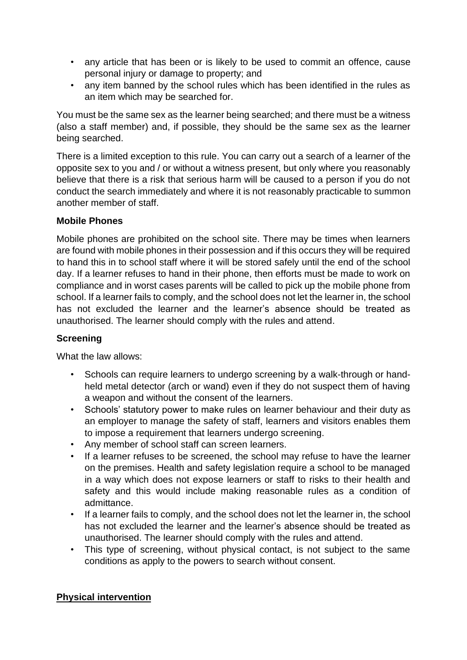- any article that has been or is likely to be used to commit an offence, cause personal injury or damage to property; and
- any item banned by the school rules which has been identified in the rules as an item which may be searched for.

You must be the same sex as the learner being searched; and there must be a witness (also a staff member) and, if possible, they should be the same sex as the learner being searched.

There is a limited exception to this rule. You can carry out a search of a learner of the opposite sex to you and / or without a witness present, but only where you reasonably believe that there is a risk that serious harm will be caused to a person if you do not conduct the search immediately and where it is not reasonably practicable to summon another member of staff.

#### **Mobile Phones**

Mobile phones are prohibited on the school site. There may be times when learners are found with mobile phones in their possession and if this occurs they will be required to hand this in to school staff where it will be stored safely until the end of the school day. If a learner refuses to hand in their phone, then efforts must be made to work on compliance and in worst cases parents will be called to pick up the mobile phone from school. If a learner fails to comply, and the school does not let the learner in, the school has not excluded the learner and the learner's absence should be treated as unauthorised. The learner should comply with the rules and attend.

#### **Screening**

What the law allows:

- Schools can require learners to undergo screening by a walk-through or handheld metal detector (arch or wand) even if they do not suspect them of having a weapon and without the consent of the learners.
- Schools' statutory power to make rules on learner behaviour and their duty as an employer to manage the safety of staff, learners and visitors enables them to impose a requirement that learners undergo screening.
- Any member of school staff can screen learners.
- If a learner refuses to be screened, the school may refuse to have the learner on the premises. Health and safety legislation require a school to be managed in a way which does not expose learners or staff to risks to their health and safety and this would include making reasonable rules as a condition of admittance.
- If a learner fails to comply, and the school does not let the learner in, the school has not excluded the learner and the learner's absence should be treated as unauthorised. The learner should comply with the rules and attend.
- This type of screening, without physical contact, is not subject to the same conditions as apply to the powers to search without consent.

#### **Physical intervention**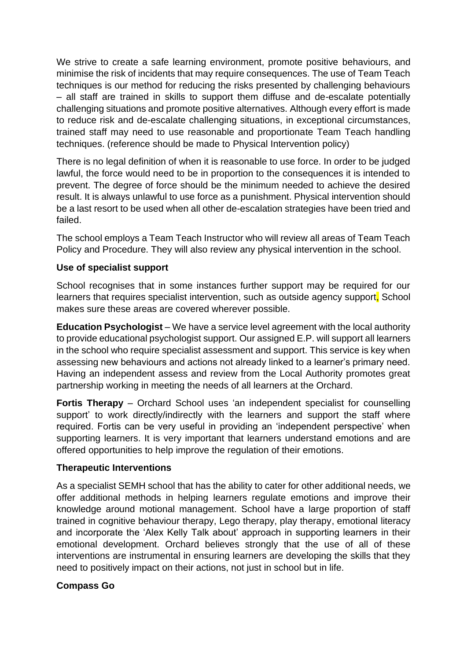We strive to create a safe learning environment, promote positive behaviours, and minimise the risk of incidents that may require consequences. The use of Team Teach techniques is our method for reducing the risks presented by challenging behaviours – all staff are trained in skills to support them diffuse and de-escalate potentially challenging situations and promote positive alternatives. Although every effort is made to reduce risk and de-escalate challenging situations, in exceptional circumstances, trained staff may need to use reasonable and proportionate Team Teach handling techniques. (reference should be made to Physical Intervention policy)

There is no legal definition of when it is reasonable to use force. In order to be judged lawful, the force would need to be in proportion to the consequences it is intended to prevent. The degree of force should be the minimum needed to achieve the desired result. It is always unlawful to use force as a punishment. Physical intervention should be a last resort to be used when all other de-escalation strategies have been tried and failed.

The school employs a Team Teach Instructor who will review all areas of Team Teach Policy and Procedure. They will also review any physical intervention in the school.

#### **Use of specialist support**

School recognises that in some instances further support may be required for our learners that requires specialist intervention, such as outside agency support. School makes sure these areas are covered wherever possible.

**Education Psychologist** – We have a service level agreement with the local authority to provide educational psychologist support. Our assigned E.P. will support all learners in the school who require specialist assessment and support. This service is key when assessing new behaviours and actions not already linked to a learner's primary need. Having an independent assess and review from the Local Authority promotes great partnership working in meeting the needs of all learners at the Orchard.

**Fortis Therapy** – Orchard School uses 'an independent specialist for counselling support' to work directly/indirectly with the learners and support the staff where required. Fortis can be very useful in providing an 'independent perspective' when supporting learners. It is very important that learners understand emotions and are offered opportunities to help improve the regulation of their emotions.

#### **Therapeutic Interventions**

As a specialist SEMH school that has the ability to cater for other additional needs, we offer additional methods in helping learners regulate emotions and improve their knowledge around motional management. School have a large proportion of staff trained in cognitive behaviour therapy, Lego therapy, play therapy, emotional literacy and incorporate the 'Alex Kelly Talk about' approach in supporting learners in their emotional development. Orchard believes strongly that the use of all of these interventions are instrumental in ensuring learners are developing the skills that they need to positively impact on their actions, not just in school but in life.

#### **Compass Go**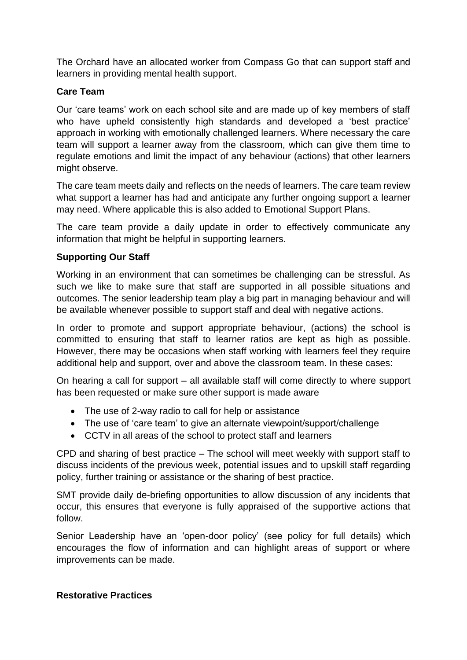The Orchard have an allocated worker from Compass Go that can support staff and learners in providing mental health support.

#### **Care Team**

Our 'care teams' work on each school site and are made up of key members of staff who have upheld consistently high standards and developed a 'best practice' approach in working with emotionally challenged learners. Where necessary the care team will support a learner away from the classroom, which can give them time to regulate emotions and limit the impact of any behaviour (actions) that other learners might observe.

The care team meets daily and reflects on the needs of learners. The care team review what support a learner has had and anticipate any further ongoing support a learner may need. Where applicable this is also added to Emotional Support Plans.

The care team provide a daily update in order to effectively communicate any information that might be helpful in supporting learners.

#### **Supporting Our Staff**

Working in an environment that can sometimes be challenging can be stressful. As such we like to make sure that staff are supported in all possible situations and outcomes. The senior leadership team play a big part in managing behaviour and will be available whenever possible to support staff and deal with negative actions.

In order to promote and support appropriate behaviour, (actions) the school is committed to ensuring that staff to learner ratios are kept as high as possible. However, there may be occasions when staff working with learners feel they require additional help and support, over and above the classroom team. In these cases:

On hearing a call for support – all available staff will come directly to where support has been requested or make sure other support is made aware

- The use of 2-way radio to call for help or assistance
- The use of 'care team' to give an alternate viewpoint/support/challenge
- CCTV in all areas of the school to protect staff and learners

CPD and sharing of best practice – The school will meet weekly with support staff to discuss incidents of the previous week, potential issues and to upskill staff regarding policy, further training or assistance or the sharing of best practice.

SMT provide daily de-briefing opportunities to allow discussion of any incidents that occur, this ensures that everyone is fully appraised of the supportive actions that follow.

Senior Leadership have an 'open-door policy' (see policy for full details) which encourages the flow of information and can highlight areas of support or where improvements can be made.

#### **Restorative Practices**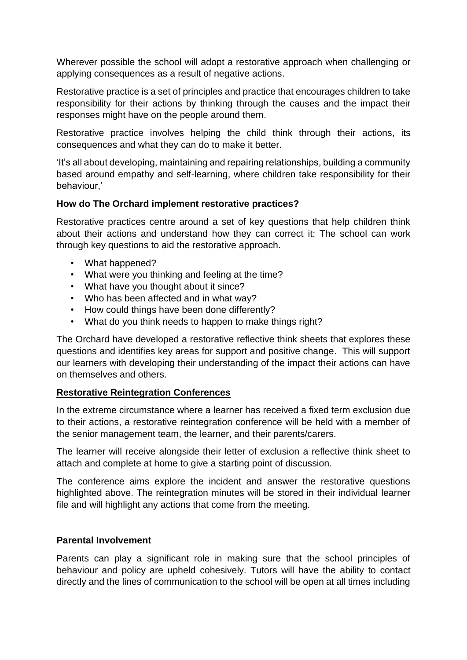Wherever possible the school will adopt a restorative approach when challenging or applying consequences as a result of negative actions.

Restorative practice is a set of principles and practice that encourages children to take responsibility for their actions by thinking through the causes and the impact their responses might have on the people around them.

Restorative practice involves helping the child think through their actions, its consequences and what they can do to make it better.

'It's all about developing, maintaining and repairing relationships, building a community based around empathy and self-learning, where children take responsibility for their behaviour,'

#### **How do The Orchard implement restorative practices?**

Restorative practices centre around a set of key questions that help children think about their actions and understand how they can correct it: The school can work through key questions to aid the restorative approach.

- What happened?
- What were you thinking and feeling at the time?
- What have you thought about it since?
- Who has been affected and in what way?
- How could things have been done differently?
- What do you think needs to happen to make things right?

The Orchard have developed a restorative reflective think sheets that explores these questions and identifies key areas for support and positive change. This will support our learners with developing their understanding of the impact their actions can have on themselves and others.

#### **Restorative Reintegration Conferences**

In the extreme circumstance where a learner has received a fixed term exclusion due to their actions, a restorative reintegration conference will be held with a member of the senior management team, the learner, and their parents/carers.

The learner will receive alongside their letter of exclusion a reflective think sheet to attach and complete at home to give a starting point of discussion.

The conference aims explore the incident and answer the restorative questions highlighted above. The reintegration minutes will be stored in their individual learner file and will highlight any actions that come from the meeting.

#### **Parental Involvement**

Parents can play a significant role in making sure that the school principles of behaviour and policy are upheld cohesively. Tutors will have the ability to contact directly and the lines of communication to the school will be open at all times including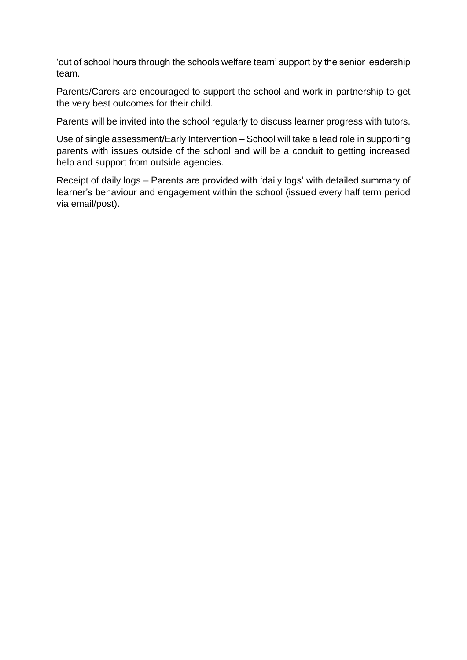'out of school hours through the schools welfare team' support by the senior leadership team.

Parents/Carers are encouraged to support the school and work in partnership to get the very best outcomes for their child.

Parents will be invited into the school regularly to discuss learner progress with tutors.

Use of single assessment/Early Intervention – School will take a lead role in supporting parents with issues outside of the school and will be a conduit to getting increased help and support from outside agencies.

Receipt of daily logs – Parents are provided with 'daily logs' with detailed summary of learner's behaviour and engagement within the school (issued every half term period via email/post).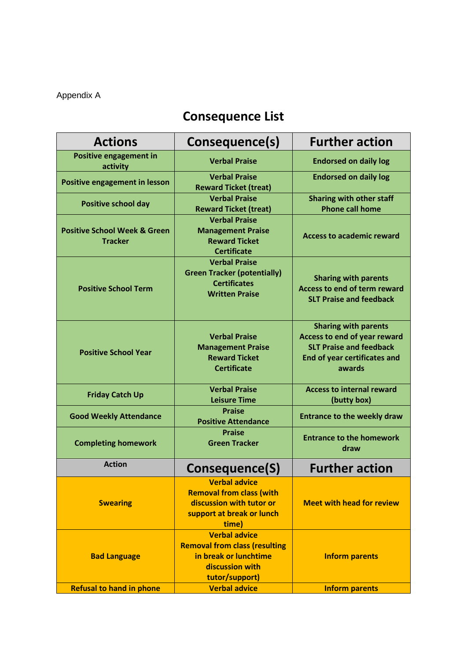## Appendix A

# **Consequence List**

| <b>Actions</b>                                            | Consequence(s)                                                                                                             | <b>Further action</b>                                                                                                                          |
|-----------------------------------------------------------|----------------------------------------------------------------------------------------------------------------------------|------------------------------------------------------------------------------------------------------------------------------------------------|
| <b>Positive engagement in</b><br>activity                 | <b>Verbal Praise</b>                                                                                                       | <b>Endorsed on daily log</b>                                                                                                                   |
| <b>Positive engagement in lesson</b>                      | <b>Verbal Praise</b><br><b>Reward Ticket (treat)</b>                                                                       | <b>Endorsed on daily log</b>                                                                                                                   |
| <b>Positive school day</b>                                | <b>Verbal Praise</b><br><b>Reward Ticket (treat)</b>                                                                       | <b>Sharing with other staff</b><br><b>Phone call home</b>                                                                                      |
| <b>Positive School Week &amp; Green</b><br><b>Tracker</b> | <b>Verbal Praise</b><br><b>Management Praise</b><br><b>Reward Ticket</b><br><b>Certificate</b>                             | <b>Access to academic reward</b>                                                                                                               |
| <b>Positive School Term</b>                               | <b>Verbal Praise</b><br><b>Green Tracker (potentially)</b><br><b>Certificates</b><br><b>Written Praise</b>                 | <b>Sharing with parents</b><br><b>Access to end of term reward</b><br><b>SLT Praise and feedback</b>                                           |
| <b>Positive School Year</b>                               | <b>Verbal Praise</b><br><b>Management Praise</b><br><b>Reward Ticket</b><br><b>Certificate</b>                             | <b>Sharing with parents</b><br>Access to end of year reward<br><b>SLT Praise and feedback</b><br><b>End of year certificates and</b><br>awards |
| <b>Friday Catch Up</b>                                    | <b>Verbal Praise</b><br><b>Leisure Time</b>                                                                                | <b>Access to internal reward</b><br>(butty box)                                                                                                |
| <b>Good Weekly Attendance</b>                             | <b>Praise</b><br><b>Positive Attendance</b>                                                                                | <b>Entrance to the weekly draw</b>                                                                                                             |
| <b>Completing homework</b>                                | <b>Praise</b><br><b>Green Tracker</b>                                                                                      | <b>Entrance to the homework</b><br>draw                                                                                                        |
| <b>Action</b>                                             | Consequence(S)                                                                                                             | <b>Further action</b>                                                                                                                          |
| <b>Swearing</b>                                           | <b>Verbal advice</b><br><b>Removal from class (with</b><br>discussion with tutor or<br>support at break or lunch<br>time)  | <b>Meet with head for review</b>                                                                                                               |
| <b>Bad Language</b>                                       | <b>Verbal advice</b><br><b>Removal from class (resulting</b><br>in break or lunchtime<br>discussion with<br>tutor/support) | <b>Inform parents</b>                                                                                                                          |
| <b>Refusal to hand in phone</b>                           | <b>Verbal advice</b>                                                                                                       | <b>Inform parents</b>                                                                                                                          |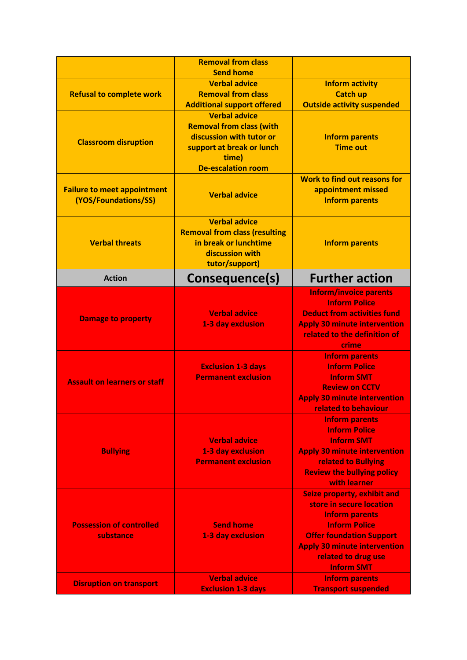|                                                            | <b>Removal from class</b><br><b>Send home</b>                                                                                                                                               |                                                                                                                                                                                                                                       |
|------------------------------------------------------------|---------------------------------------------------------------------------------------------------------------------------------------------------------------------------------------------|---------------------------------------------------------------------------------------------------------------------------------------------------------------------------------------------------------------------------------------|
| <b>Refusal to complete work</b>                            | <b>Verbal advice</b><br><b>Removal from class</b>                                                                                                                                           | <b>Inform activity</b><br><b>Catch up</b>                                                                                                                                                                                             |
| <b>Classroom disruption</b>                                | <b>Additional support offered</b><br><b>Verbal advice</b><br><b>Removal from class (with</b><br>discussion with tutor or<br>support at break or lunch<br>time)<br><b>De-escalation room</b> | <b>Outside activity suspended</b><br><b>Inform parents</b><br><b>Time out</b>                                                                                                                                                         |
| <b>Failure to meet appointment</b><br>(YOS/Foundations/SS) | <b>Verbal advice</b>                                                                                                                                                                        | <b>Work to find out reasons for</b><br>appointment missed<br><b>Inform parents</b>                                                                                                                                                    |
| <b>Verbal threats</b>                                      | <b>Verbal advice</b><br><b>Removal from class (resulting</b><br>in break or lunchtime<br>discussion with<br>tutor/support)                                                                  | <b>Inform parents</b>                                                                                                                                                                                                                 |
| <b>Action</b>                                              | Consequence(s)                                                                                                                                                                              | <b>Further action</b>                                                                                                                                                                                                                 |
| <b>Damage to property</b>                                  | <b>Verbal advice</b><br>1-3 day exclusion                                                                                                                                                   | <b>Inform/invoice parents</b><br><b>Inform Police</b><br><b>Deduct from activities fund</b><br><b>Apply 30 minute intervention</b><br>related to the definition of<br>crime<br><b>Inform parents</b>                                  |
| <b>Assault on learners or staff</b>                        | <b>Exclusion 1-3 days</b><br><b>Permanent exclusion</b>                                                                                                                                     | <b>Inform Police</b><br><b>Inform SMT</b><br><b>Review on CCTV</b><br><b>Apply 30 minute intervention</b><br>related to behaviour                                                                                                     |
| <b>Bullying</b>                                            | <b>Verbal advice</b><br>1-3 day exclusion<br><b>Permanent exclusion</b>                                                                                                                     | <b>Inform parents</b><br><b>Inform Police</b><br><b>Inform SMT</b><br><b>Apply 30 minute intervention</b><br>related to Bullying<br><b>Review the bullying policy</b><br>with learner                                                 |
| <b>Possession of controlled</b><br>substance               | <b>Send home</b><br>1-3 day exclusion                                                                                                                                                       | <b>Seize property, exhibit and</b><br>store in secure location<br><b>Inform parents</b><br><b>Inform Police</b><br><b>Offer foundation Support</b><br><b>Apply 30 minute intervention</b><br>related to drug use<br><b>Inform SMT</b> |
| <b>Disruption on transport</b>                             | <b>Verbal advice</b><br><b>Exclusion 1-3 days</b>                                                                                                                                           | <b>Inform parents</b><br><b>Transport suspended</b>                                                                                                                                                                                   |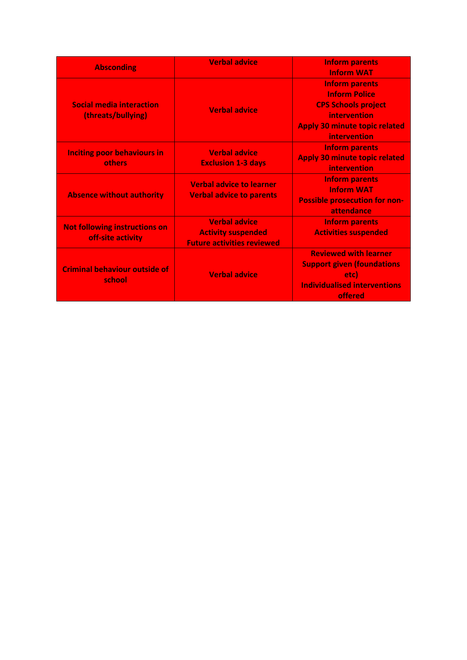|                                              | <b>Verbal advice</b>              | <b>Inform parents</b>                |  |
|----------------------------------------------|-----------------------------------|--------------------------------------|--|
| <b>Absconding</b>                            |                                   | <b>Inform WAT</b>                    |  |
|                                              |                                   | <b>Inform parents</b>                |  |
|                                              |                                   | <b>Inform Police</b>                 |  |
| <b>Social media interaction</b>              | <b>Verbal advice</b>              | <b>CPS Schools project</b>           |  |
| (threats/bullying)                           |                                   | intervention                         |  |
|                                              |                                   | <b>Apply 30 minute topic related</b> |  |
|                                              |                                   | <b>intervention</b>                  |  |
|                                              | <b>Verbal advice</b>              | <b>Inform parents</b>                |  |
| <b>Inciting poor behaviours in</b><br>others | <b>Exclusion 1-3 days</b>         | <b>Apply 30 minute topic related</b> |  |
|                                              |                                   | <b>intervention</b>                  |  |
|                                              | <b>Verbal advice to learner</b>   | <b>Inform parents</b>                |  |
|                                              |                                   | <b>Inform WAT</b>                    |  |
| <b>Absence without authority</b>             | <b>Verbal advice to parents</b>   | <b>Possible prosecution for non-</b> |  |
|                                              |                                   | attendance                           |  |
|                                              | <b>Verbal advice</b>              | <b>Inform parents</b>                |  |
| <b>Not following instructions on</b>         | <b>Activity suspended</b>         | <b>Activities suspended</b>          |  |
| off-site activity                            | <b>Future activities reviewed</b> |                                      |  |
|                                              |                                   | <b>Reviewed with learner</b>         |  |
| <b>Criminal behaviour outside of</b>         |                                   | <b>Support given (foundations</b>    |  |
| school                                       | <b>Verbal advice</b>              | etc)                                 |  |
|                                              |                                   | <b>Individualised interventions</b>  |  |
|                                              |                                   | offered                              |  |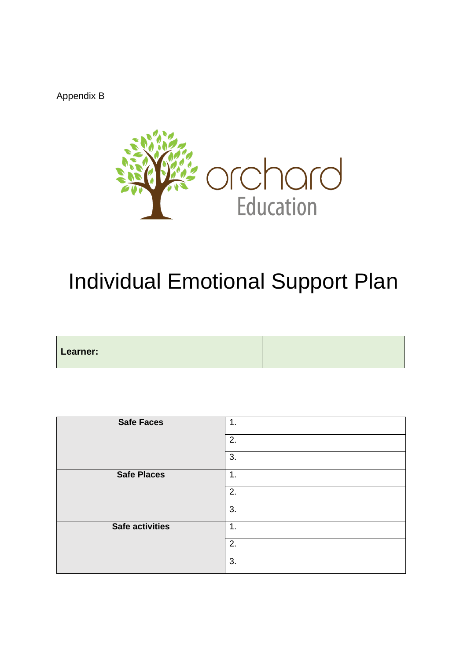Appendix B



# Individual Emotional Support Plan

| Learner: |  |
|----------|--|
|          |  |
|          |  |
|          |  |
|          |  |

| <b>Safe Faces</b>      | 1. |
|------------------------|----|
|                        | 2. |
|                        | 3. |
| <b>Safe Places</b>     | 1. |
|                        | 2. |
|                        | 3. |
| <b>Safe activities</b> | 1. |
|                        | 2. |
|                        | 3. |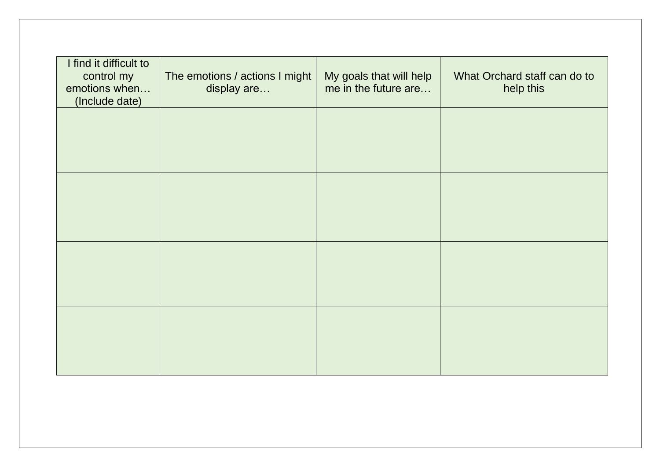| I find it difficult to<br>control my<br>emotions when<br>(Include date) | The emotions / actions I might<br>display are | My goals that will help<br>me in the future are | What Orchard staff can do to<br>help this |
|-------------------------------------------------------------------------|-----------------------------------------------|-------------------------------------------------|-------------------------------------------|
|                                                                         |                                               |                                                 |                                           |
|                                                                         |                                               |                                                 |                                           |
|                                                                         |                                               |                                                 |                                           |
|                                                                         |                                               |                                                 |                                           |
|                                                                         |                                               |                                                 |                                           |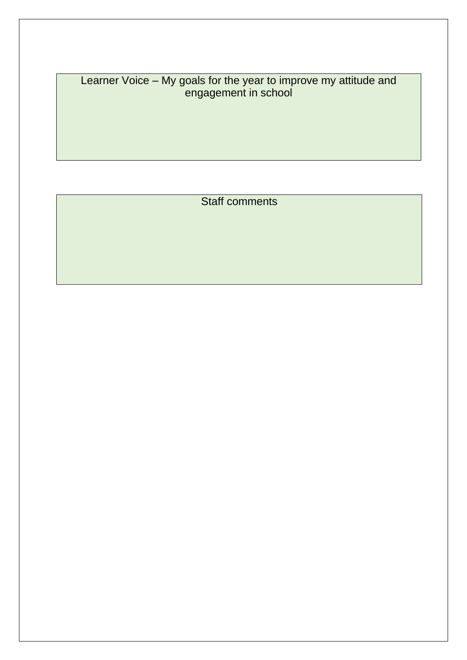Learner Voice – My goals for the year to improve my attitude and engagement in school

Staff comments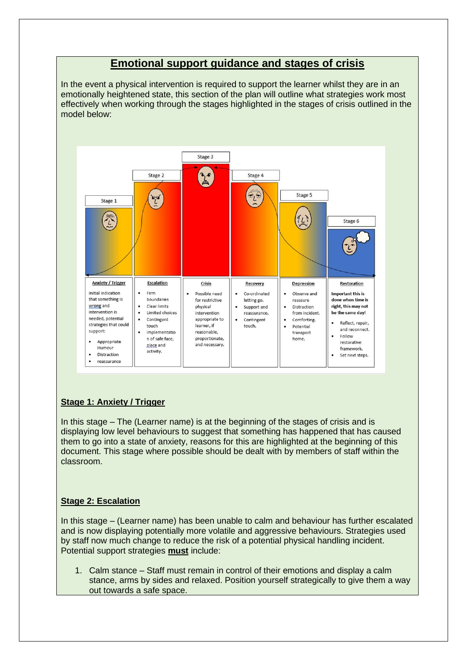#### **Emotional support guidance and stages of crisis**

In the event a physical intervention is required to support the learner whilst they are in an emotionally heightened state, this section of the plan will outline what strategies work most effectively when working through the stages highlighted in the stages of crisis outlined in the model below:



#### **Stage 1: Anxiety / Trigger**

In this stage – The (Learner name) is at the beginning of the stages of crisis and is displaying low level behaviours to suggest that something has happened that has caused them to go into a state of anxiety, reasons for this are highlighted at the beginning of this document. This stage where possible should be dealt with by members of staff within the classroom.

#### **Stage 2: Escalation**

In this stage – (Learner name) has been unable to calm and behaviour has further escalated and is now displaying potentially more volatile and aggressive behaviours. Strategies used by staff now much change to reduce the risk of a potential physical handling incident. Potential support strategies **must** include:

1. Calm stance – Staff must remain in control of their emotions and display a calm stance, arms by sides and relaxed. Position yourself strategically to give them a way out towards a safe space.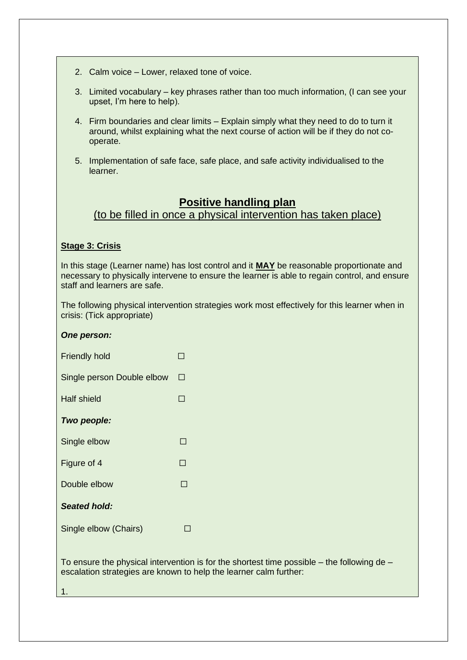- 2. Calm voice Lower, relaxed tone of voice.
- 3. Limited vocabulary key phrases rather than too much information, (I can see your upset, I'm here to help).
- 4. Firm boundaries and clear limits Explain simply what they need to do to turn it around, whilst explaining what the next course of action will be if they do not cooperate.
- 5. Implementation of safe face, safe place, and safe activity individualised to the learner.

### **Positive handling plan**

(to be filled in once a physical intervention has taken place)

#### **Stage 3: Crisis**

In this stage (Learner name) has lost control and it **MAY** be reasonable proportionate and necessary to physically intervene to ensure the learner is able to regain control, and ensure staff and learners are safe.

The following physical intervention strategies work most effectively for this learner when in crisis: (Tick appropriate)

| <u>HIG TUIDWING PHYSICAL INIGHEFINDI</u><br>crisis: (Tick appropriate) |   |
|------------------------------------------------------------------------|---|
| One person:                                                            |   |
| <b>Friendly hold</b>                                                   | П |
| Single person Double elbow                                             | П |
| Half shield                                                            | П |
| Two people:                                                            |   |
| Single elbow                                                           |   |
| Figure of 4                                                            | ┓ |
| Double elbow                                                           |   |
| <b>Seated hold:</b>                                                    |   |
| Single elbow (Chairs)                                                  |   |

To ensure the physical intervention is for the shortest time possible – the following de – escalation strategies are known to help the learner calm further:

1.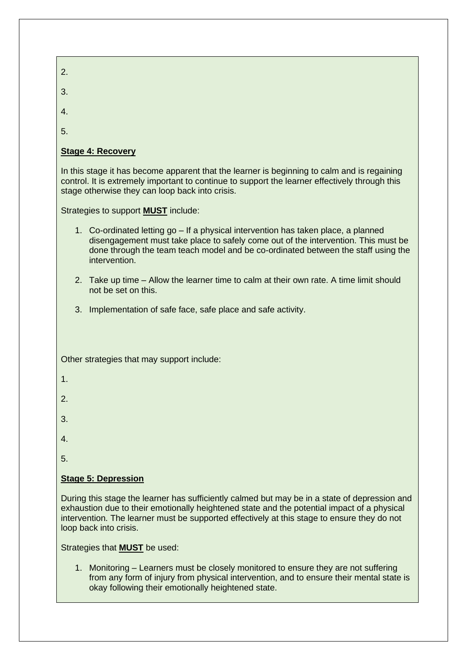| 2.                                                                                                                                                                                                                                                                                                                    |
|-----------------------------------------------------------------------------------------------------------------------------------------------------------------------------------------------------------------------------------------------------------------------------------------------------------------------|
| 3.                                                                                                                                                                                                                                                                                                                    |
| 4.                                                                                                                                                                                                                                                                                                                    |
| 5.                                                                                                                                                                                                                                                                                                                    |
| <b>Stage 4: Recovery</b>                                                                                                                                                                                                                                                                                              |
| In this stage it has become apparent that the learner is beginning to calm and is regaining<br>control. It is extremely important to continue to support the learner effectively through this<br>stage otherwise they can loop back into crisis.                                                                      |
| Strategies to support <b>MUST</b> include:                                                                                                                                                                                                                                                                            |
| 1. Co-ordinated letting go – If a physical intervention has taken place, a planned<br>disengagement must take place to safely come out of the intervention. This must be<br>done through the team teach model and be co-ordinated between the staff using the<br>intervention.                                        |
| 2. Take up time – Allow the learner time to calm at their own rate. A time limit should<br>not be set on this.                                                                                                                                                                                                        |
| 3. Implementation of safe face, safe place and safe activity.                                                                                                                                                                                                                                                         |
|                                                                                                                                                                                                                                                                                                                       |
| Other strategies that may support include:                                                                                                                                                                                                                                                                            |
| 1.                                                                                                                                                                                                                                                                                                                    |
| 2.                                                                                                                                                                                                                                                                                                                    |
| 3.                                                                                                                                                                                                                                                                                                                    |
| 4.                                                                                                                                                                                                                                                                                                                    |
| 5.                                                                                                                                                                                                                                                                                                                    |
| <b>Stage 5: Depression</b>                                                                                                                                                                                                                                                                                            |
| During this stage the learner has sufficiently calmed but may be in a state of depression and<br>exhaustion due to their emotionally heightened state and the potential impact of a physical<br>intervention. The learner must be supported effectively at this stage to ensure they do not<br>loop back into crisis. |
| Strategies that <b>MUST</b> be used:                                                                                                                                                                                                                                                                                  |

1. Monitoring – Learners must be closely monitored to ensure they are not suffering from any form of injury from physical intervention, and to ensure their mental state is okay following their emotionally heightened state.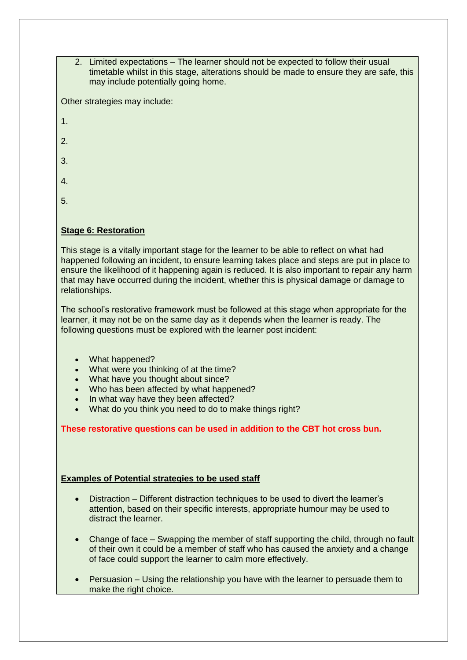2. Limited expectations – The learner should not be expected to follow their usual timetable whilst in this stage, alterations should be made to ensure they are safe, this may include potentially going home.

Other strategies may include:

- 1.
- 2.
- 3.
- 
- 4.
- 5.

#### **Stage 6: Restoration**

This stage is a vitally important stage for the learner to be able to reflect on what had happened following an incident, to ensure learning takes place and steps are put in place to ensure the likelihood of it happening again is reduced. It is also important to repair any harm that may have occurred during the incident, whether this is physical damage or damage to relationships.

The school's restorative framework must be followed at this stage when appropriate for the learner, it may not be on the same day as it depends when the learner is ready. The following questions must be explored with the learner post incident:

- What happened?
- What were you thinking of at the time?
- What have you thought about since?
- Who has been affected by what happened?
- In what way have they been affected?
- What do you think you need to do to make things right?

**These restorative questions can be used in addition to the CBT hot cross bun.**

#### **Examples of Potential strategies to be used staff**

- Distraction Different distraction techniques to be used to divert the learner's attention, based on their specific interests, appropriate humour may be used to distract the learner.
- Change of face Swapping the member of staff supporting the child, through no fault of their own it could be a member of staff who has caused the anxiety and a change of face could support the learner to calm more effectively.
- Persuasion Using the relationship you have with the learner to persuade them to make the right choice.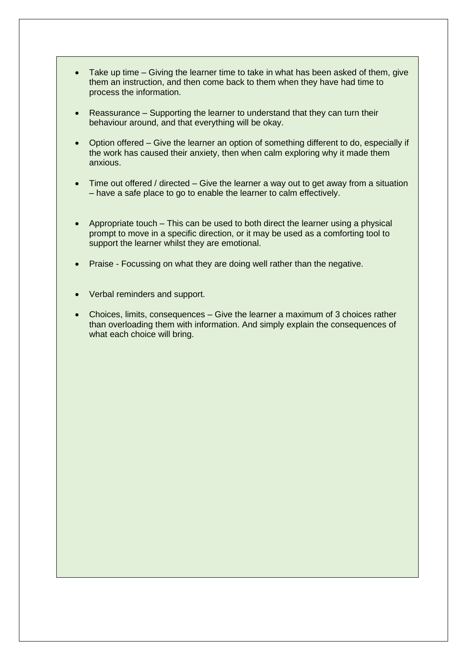- Take up time Giving the learner time to take in what has been asked of them, give them an instruction, and then come back to them when they have had time to process the information.
- Reassurance Supporting the learner to understand that they can turn their behaviour around, and that everything will be okay.
- Option offered Give the learner an option of something different to do, especially if the work has caused their anxiety, then when calm exploring why it made them anxious.
- Time out offered / directed Give the learner a way out to get away from a situation – have a safe place to go to enable the learner to calm effectively.
- Appropriate touch This can be used to both direct the learner using a physical prompt to move in a specific direction, or it may be used as a comforting tool to support the learner whilst they are emotional.
- Praise Focussing on what they are doing well rather than the negative.
- Verbal reminders and support.
- Choices, limits, consequences Give the learner a maximum of 3 choices rather than overloading them with information. And simply explain the consequences of what each choice will bring.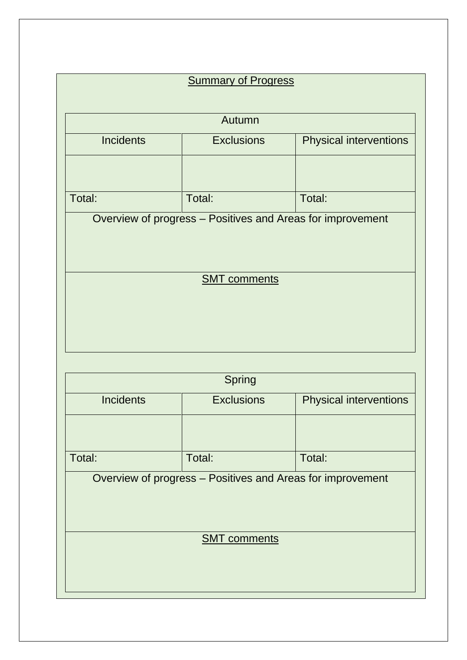| <b>Summary of Progress</b>                                 |                                                    |                               |  |
|------------------------------------------------------------|----------------------------------------------------|-------------------------------|--|
|                                                            | Autumn                                             |                               |  |
| <b>Incidents</b>                                           | <b>Exclusions</b>                                  | <b>Physical interventions</b> |  |
|                                                            |                                                    |                               |  |
| Total:                                                     | Total:                                             | Total:                        |  |
|                                                            |                                                    |                               |  |
|                                                            | <b>SMT</b> comments                                |                               |  |
|                                                            |                                                    |                               |  |
|                                                            |                                                    |                               |  |
|                                                            |                                                    |                               |  |
|                                                            | <b>Spring</b>                                      |                               |  |
| <b>Incidents</b>                                           | <b>Exclusions</b><br><b>Physical interventions</b> |                               |  |
|                                                            |                                                    |                               |  |
| Total:                                                     | Total:                                             | Total:                        |  |
| Overview of progress - Positives and Areas for improvement |                                                    |                               |  |
|                                                            |                                                    |                               |  |
| <b>SMT</b> comments                                        |                                                    |                               |  |
|                                                            |                                                    |                               |  |
|                                                            |                                                    |                               |  |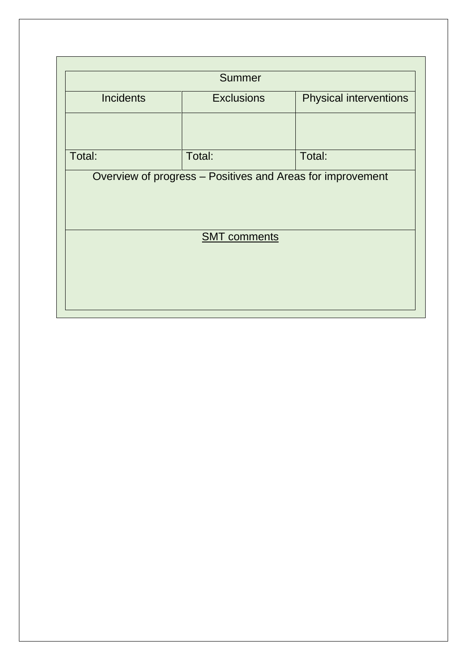|                                                            | <b>Summer</b>     |                               |  |  |
|------------------------------------------------------------|-------------------|-------------------------------|--|--|
| <b>Incidents</b>                                           | <b>Exclusions</b> | <b>Physical interventions</b> |  |  |
|                                                            |                   |                               |  |  |
| Total:                                                     | Total:            | Total:                        |  |  |
| Overview of progress - Positives and Areas for improvement |                   |                               |  |  |
|                                                            |                   |                               |  |  |
|                                                            |                   |                               |  |  |
| <b>SMT</b> comments                                        |                   |                               |  |  |
|                                                            |                   |                               |  |  |
|                                                            |                   |                               |  |  |
|                                                            |                   |                               |  |  |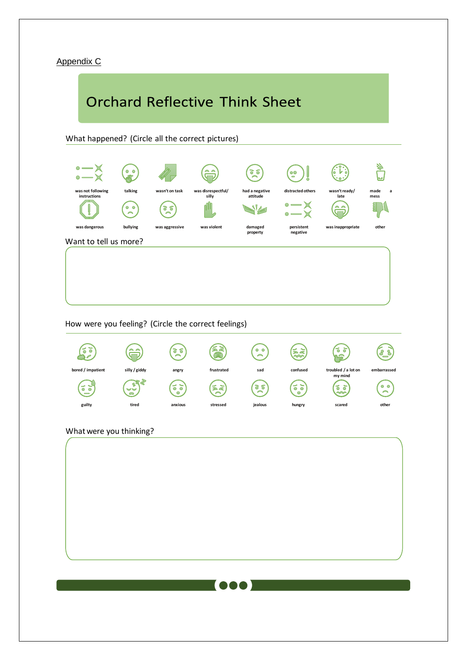#### Appendix C

# **Orchard Reflective Think Sheet**



How were you feeling? (Circle the correct feelings)



#### What were you thinking?

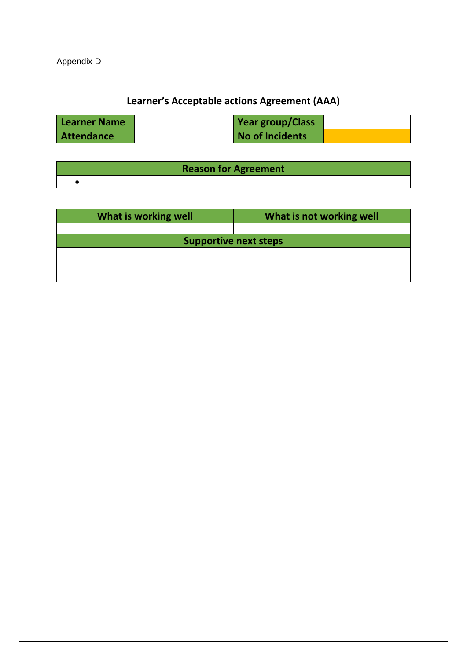Appendix D

## **Learner's Acceptable actions Agreement (AAA)**

| Learner Name | <b>Year group/Class</b> |  |
|--------------|-------------------------|--|
| Attendance   | No of Incidents         |  |

| <b>Reason for Agreement</b> |  |
|-----------------------------|--|
|                             |  |

| What is working well         | What is not working well |  |  |
|------------------------------|--------------------------|--|--|
|                              |                          |  |  |
| <b>Supportive next steps</b> |                          |  |  |
|                              |                          |  |  |
|                              |                          |  |  |
|                              |                          |  |  |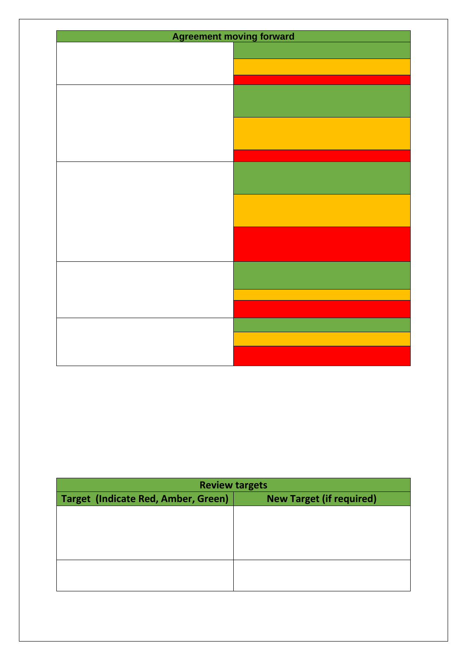| <b>Agreement moving forward</b> |  |  |  |
|---------------------------------|--|--|--|
|                                 |  |  |  |
|                                 |  |  |  |
|                                 |  |  |  |
|                                 |  |  |  |
|                                 |  |  |  |
|                                 |  |  |  |
|                                 |  |  |  |
|                                 |  |  |  |
|                                 |  |  |  |
|                                 |  |  |  |
|                                 |  |  |  |
|                                 |  |  |  |
|                                 |  |  |  |
|                                 |  |  |  |
|                                 |  |  |  |
|                                 |  |  |  |
|                                 |  |  |  |
|                                 |  |  |  |
|                                 |  |  |  |
|                                 |  |  |  |
|                                 |  |  |  |
|                                 |  |  |  |
|                                 |  |  |  |
|                                 |  |  |  |
|                                 |  |  |  |
|                                 |  |  |  |
|                                 |  |  |  |

| <b>Review targets</b>                                                         |  |  |  |
|-------------------------------------------------------------------------------|--|--|--|
| <b>Target (Indicate Red, Amber, Green)</b><br><b>New Target (if required)</b> |  |  |  |
|                                                                               |  |  |  |
|                                                                               |  |  |  |
|                                                                               |  |  |  |
|                                                                               |  |  |  |
|                                                                               |  |  |  |
|                                                                               |  |  |  |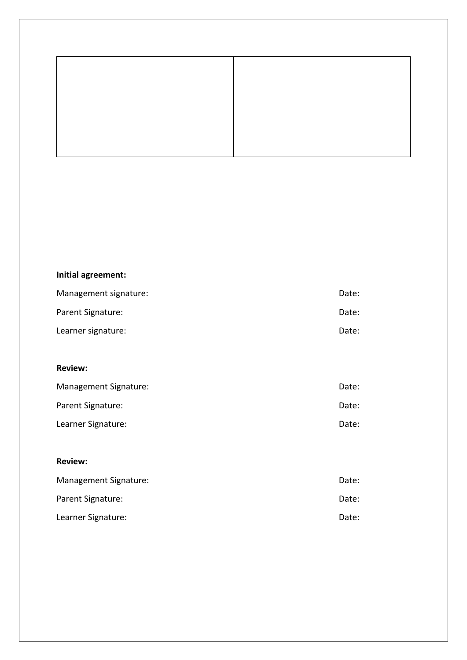## **Initial agreement:**

| Management signature: | Date: |
|-----------------------|-------|
| Parent Signature:     | Date: |
| Learner signature:    | Date: |

#### **Review:**

| Management Signature: | Date: |
|-----------------------|-------|
| Parent Signature:     | Date: |
| Learner Signature:    | Date: |

#### **Review:**

| Management Signature: | Date: |
|-----------------------|-------|
| Parent Signature:     | Date: |
| Learner Signature:    | Date: |